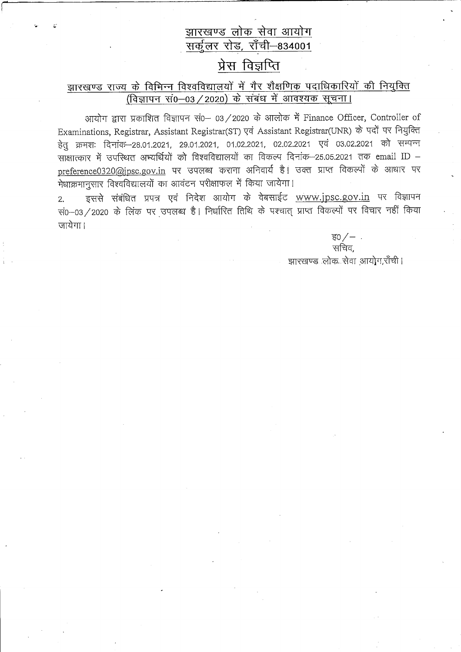### झारखण्ड लोक सेवा आयोग ————————————————————<br>सर्कुलर रोड, रॉंची–834001

# प्रेस विज्ञप्ति

#### <u>झारखण्ड राज्य के विभिन्न विश्वविद्यालयों में गैर शैक्षणिक पदाधिकारियों की निय</u>ुक्ति i) *i* H-I-Bandari in the settlement in the settlement of the interest in the interest of the interest of the i

आयोग द्वारा प्रकाशित विज्ञापन सं0- 03/2020 के आलोक में Finance Officer, Controller of Examinations, Registrar, Assistant Registrar(ST) एवं Assistant Registrar(UNR) के पदों पर नियुक्ति हेत क्रमशः दिनांक-28.01.2021, 29.01.2021, 01.02.2021, 02.02.2021 एवं 03.02.2021 को सम्पन्न लाक्षात्कार में उपस्थित अभ्यर्थियों को विश्वविद्यालयों का विकल्प दिनांक-25.05.2021 तक email ID preference0320@jpsc.gov.in पर उपलब्ध कराना अनिवार्य है। उक्त प्राप्त विकल्पों के आधार पर मेधाक्रमानुसार विश्वविद्यालयों का आवंटन परीक्षाफल में किया जायेगा।

2. ed rfu qqiF Td frfu Grfu tF € \_www.jpsc.8Ov.i\_fl q{ ffiFT सं0-03/2020 के लिंक पर उपलब्ध है। निर्धारित तिथि के पश्चात् प्राप्त विकल्पों पर विचार नहीं किया जायेगा।

> $F_0$  /  $-$  . सचिव. .चारखण्ड .लोक सेवा आयोग,राँची।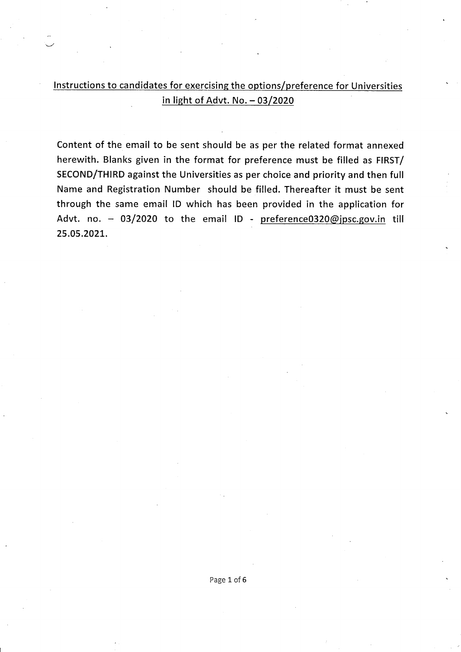Instructions to candidates for exercising the options/preference for Universities in light of Advt. No.  $-03/2020$ 

Content of the email to be sent should be as per the related format annexed herewith. Blanks given in the format for preference must be filled as FIRST/ SECOND/THIRD against the Universities as per choice and priority and then full Name and Registration Number should be filled. Thereafter it must be sent through the same email lD which has been provided in the application for Advt. no. - 03/2020 to the email ID - preference0320@jpsc.gov.in till 25 .05 .2021.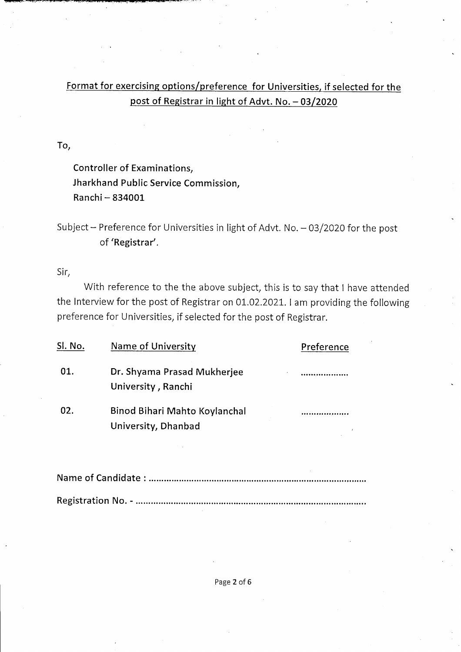### Format for exercising options/preference for Universities, if selected for the post of Registrar in light of Advt. No. - 03/2020

TO,

Controller of Examinations, Jharkhand Public Service Commission, Ranchi - 834001

Subject - Preference for Universities in light of Advt. No. - 03/2020 for the post of 'Registrar'.

Sir,

With reference to the the above subject, this is to say that I have attended the Interview for the post of Registrar on 01.02.2021. I am providing the following preference for Universities, if selected for the post of Registrar.

| Sl. No. | Name of University                                   | Preference |
|---------|------------------------------------------------------|------------|
| 01.     | Dr. Shyama Prasad Mukherjee<br>University, Ranchi    |            |
| 02.     | Binod Bihari Mahto Koylanchal<br>University, Dhanbad |            |

Name of Candidate : ...................,...,.......,.........................................,,....,....... Registration No .-...................,...,..................................................,,.....,..,..... "

Page 2 of 6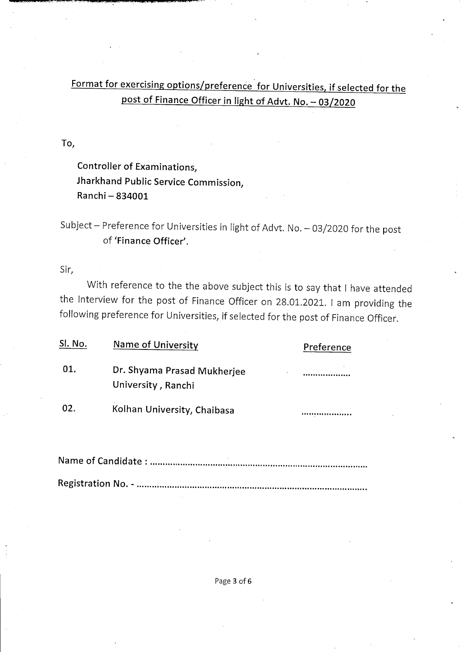## Format for exercising options/preference for Universities, if selected for the ost of Finance Officer in light of Advt. No. - 03/2020

TO,

Controller of Examinations, Jharkhand Public Service Commission, Ranchi - 834001

Subject - Preference for Universities in light of Advt. No. - 03/2020 for the post of 'Finance Officer'.

Sir,

With reference to the the above subject this is to say that I have attended the Interview for the post of Finance Officer on 28.01.2021. I am providing the following preference for Universities, if selected for the post of Finance Officer.

| Sl. No. | Name of University                                | Preference |
|---------|---------------------------------------------------|------------|
| 01.     | Dr. Shyama Prasad Mukherjee<br>University, Ranchi |            |
| 02.     | Kolhan University, Chaibasa                       |            |

Name of Candidate : ....... " .,............ " ..... "."" .................... " ........,.... " ..... " ...... Registration No .-...............................................................................,,.... " .....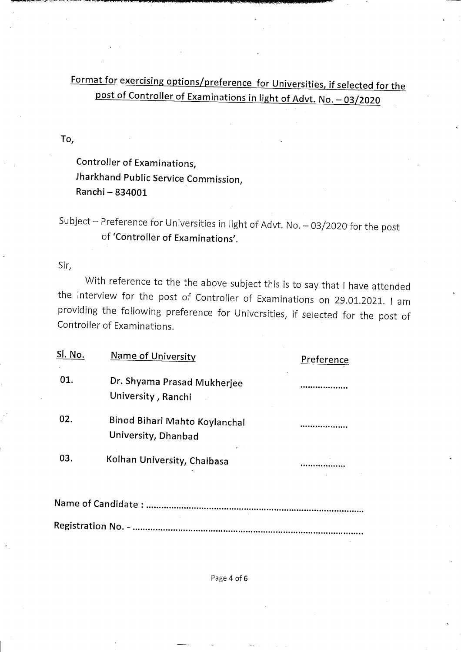Eormat for exercising options/preference for Universities, if selected for the of Controller of Examinations in light of Advt. No. - 03

TO,

Controller of Examinations, Jharkhand Public Service Commission, Ranchi - 834001

Subject - Preference for Universities in light of Advt. No. - 03/2020 for the post of 'Controller of Examinations'.

Sir,

With reference to the the above subject this is to say that I have attended the Interview for the post of Controller of Examinations on 29.01.2021. I am providing the following preference for Universities, if selected for the post of Controller of Examinations.

| Sl. No. | <b>Name of University</b>                            | Preference |
|---------|------------------------------------------------------|------------|
| 01.     | Dr. Shyama Prasad Mukherjee<br>University, Ranchi    |            |
| 02.     | Binod Bihari Mahto Koylanchal<br>University, Dhanbad |            |
| 03.     | Kolhan University, Chaibasa                          |            |
|         | Name of Candidate :<br>                              |            |

Registration No. - ...................

Page 4 of 6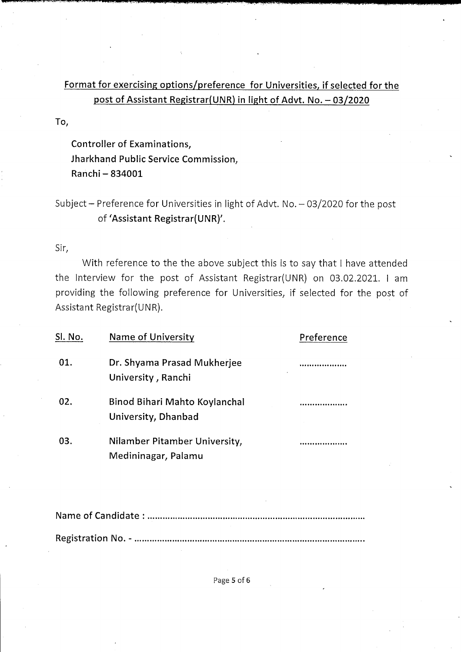### Format for exercising options/preference for Universities, if selected for the post of Assistant Registrar (UNR) in light of Advt. No. - 03/2020

TO,

Controller of Examinations, Jharkhand Public Service Commission, Ranchi - 834001

#### Subject - Preference for Universities in light of Advt. No.  $-03/2020$  for the post of 'Assistant Registrar(UNR)'.

Sir,

With reference to the the above subject this is to say that I have attended the Interview for the post of Assistant Registrar(UNR) on 03.02.2021. I am providing the following preference for Universities, if selected for the post of Assistant Registrar(UNR).

| Sl. No. | <b>Name of University</b>                            | Preference |
|---------|------------------------------------------------------|------------|
| 01.     | Dr. Shyama Prasad Mukherjee<br>University, Ranchi    |            |
| 02.     | Binod Bihari Mahto Koylanchal<br>University, Dhanbad |            |
| 03.     | Nilamber Pitamber University,<br>Medininagar, Palamu |            |
|         |                                                      |            |

Name of Candidate : ,...,.....,,.........,........,................,...........,...,..,.........,....,..... Registration No .-..,....,...,,............................,.....,,..........,....,.......,...........,..... "